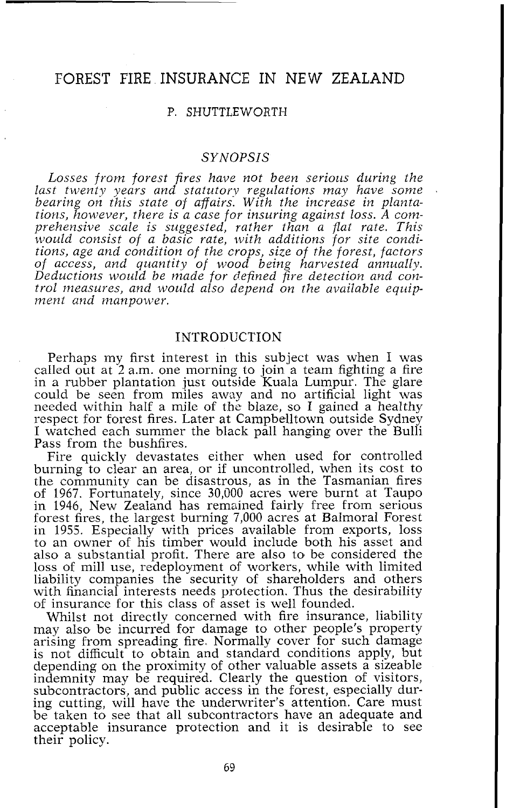# FOREST FIRE INSURANCE IN NEW ZEALAND

#### P. SHUTTLEWORTH

# *SYNOPSIS*

Losses from forest fires have not been serious during the *last twenty years and statutory regulations may have some* bearing on this state of affairs. With the increase in planta-<br>tions, however, there is a case for insuring against loss. A com*prehensive scale is suggested, rather than a flat rate. This would consist of a basic rate, with additions for site conditions, age and condition of the crops, size of the forest, factors of access, and quantity of wood being harvested annually. Deductions would be made for defined fire detection and control measures, and would also depend on the available equipment and manpower.* 

#### INTRODUCTION

Perhaps my first interest in this subject was when I was caIled out at 2 a.m. one morning to join a team fighting a fire in a rubber plantation just outside Kuala Lumpur. The glare could be seen from miles away and no artificial light was needed within half a mile of the blaze, so I gained a healthy respect for forest fires. Later at Campbelltown outside Sydney I watched each summer the black pall hanging over the Bulli Pass from the bushfires.

Fire quickly devastates either when used for controlled burning to clear an area, or if uncontrolled, when its cost to the community can be disastrous, as in the Tasmanian fires of 1967. Fortunately, since 30,000 acres were burnt at Taupo in 1946, New Zealand has remained fairly free from serious forest fires, the largest burning 7,000 acres at Balmoral Forest in 1955. Especially with prices available from exports, loss to an owner of his timber would include both his asset and also a substantial profit. There are also to be considered the loss of mill use, redeployment of workers, while with limited liability companies the security of shareholders and others with financial interests needs protection. Thus the desirability of insurance for this class of asset is well founded.

Whilst not directly concerned with fire insurance, liability may also be incurred for damage to other people's property arising from spreading fire. Normally cover for such damage is not difficult to obtain and standard conditions apply, but depending on the proximity of other valuable assets a sizeable indemnity may be required. Clearly the question of visitors, subcontractors, and public access in the forest, especially during cutting, will have the underwriter's attention. Care must be taken to see that all subcontractors have an adequate and acceptable insurance protection and it is desirable to see their policy.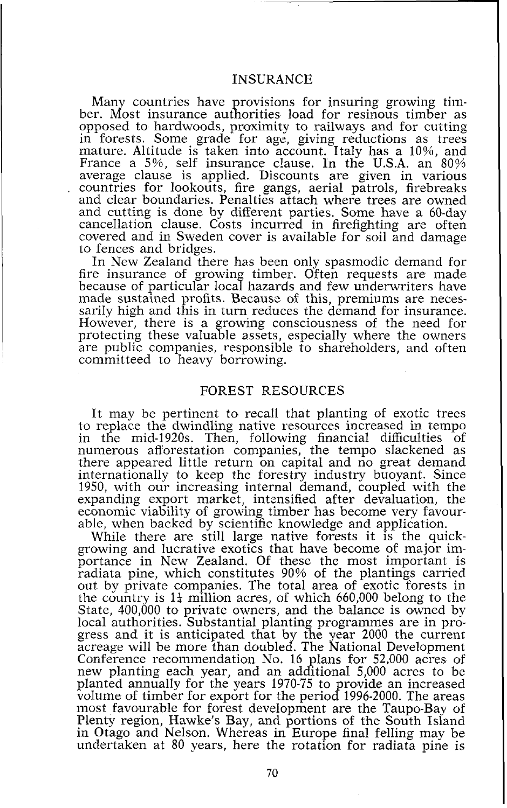# INSURANCE

Many countries have provisions for insuring growing timber. Most insurance authorities load for resinous timber as opposed to hardwoods, proximity to railways and for cutting in forests. Some grade for age, giving reductions as trees mature. Altitude is taken into account. Italy has a lo%, and France a 5%, self insurance clause. In the U.S.A. an 80% average clause is applied. Discounts are given in various countries for lookouts, fire gangs, aerial patrols, firebreaks and clear boundaries. Penalties attach where trees are owned and cutting is done by different parties. Some have a 60-day cancellation clause. Costs incurred in firefighting are often covered and in Sweden cover is available for soil and damage to fences and bridges.

In New Zealand there has been only spasmodic demand for fire insurance of growing timber. Often requests are made because of particular local hazards and few underwriters have made sustained profits. Because of this, premiums are necessarily high and this in turn reduces the demand for insurance. However, there is a growing consciousness of the need for protecting these valuable assets, especially where the owners are public companies, responsible to shareholders, and often committeed to heavy borrowing.

#### FOREST RESOURCES

It may be pertinent to recall that planting of exotic trees to replace the dwindling native resources increased in tempo in the mid-1920s. Then, following financial difficulties of numerous afforestation companies, the tempo slackened as there appeared little return on capital and no great demand internationally to keep the forestry industry buoyant. Since 1950, with our increasing internal demand, coupled with the expanding export market, intensified after devaluation, the economic viability of growing timber has become very favourable, when backed by scientific knowledge and application.

While there are still large native forests it is the quickgrowing and lucrative exotics that have become of major importance in New Zealand. Of these the most important is radiata pine, which constitutes 90% of the plantings carried out by private companies. The total area of exotic forests in the country is  $1\frac{1}{4}$  million acres, of which 660,000 belong to the State, 400,000 to private owners, and the balance is owned by local authorities. Substantial planting programmes are in progress and it is anticipated that by the year 2000 the current acreage will be more than doubled. The National Development Conference recommendation No. 16 plans for 52,000 acres of Conference recommendation No. 16 plans for  $52,000$  acres of new planting each year, and an additional  $5,000$  acres to be planted annually for the years 1970-75 to provide an increased volume of timber for export for the period 1996-2000. The areas most favourable for forest development are the Taupo-Bay of Plenty region, Hawke's Bay, and portions of the South Island in Otago and Nelson. Whereas in Europe final felling may be undertaken at 80 years, here the rotation for radiata pine is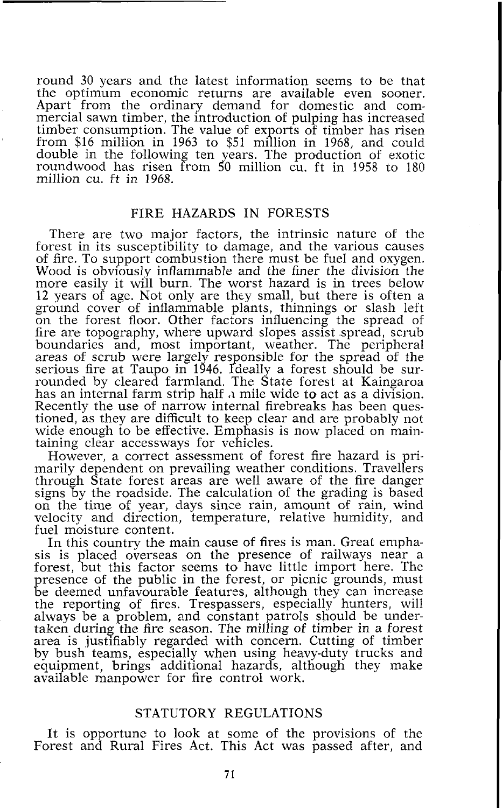round 30 years and the latest information seems to be that the optimum economic returns are available even sooner. Apart from the ordinary demand for domestic and commercial sawn timber, the introduction of pulping has increased timber consumption. The value of exports of timber has risen from \$16 million in 1963 to \$51 million in 1968, and could double in the following ten years. The production of exotic roundwood has risen from 50 million cu. ft in 1958 to 180 million cu. ft in 1968.

#### FIRE HAZARDS IN FORESTS

There are two major factors, the intrinsic nature of the forest in its susceptibility to damage, and the various causes of fire. To support combustion there must be fuel and oxygen. Wood is obviously inflammable and the finer the division the more easily it will burn. The worst hazard is in trees below 12 years of age. Not only are thcy small, but there is often a ground cover of inflammable plants, thinnings or slash left on the forest floor. Other factors influencing the spread of fire are topography, where upward slopes assist spread, scrub boundaries and, most important, weather. The peripheral areas of scrub were largely responsible for the spread of the serious fire at Taupo in 1946. Ideally a forest should be surrounded by cleared farmland. The State forest at Kaingaroa has an internal farm strip half **'1** mile wide to act as a division. Recently the use of narrow internal firebreaks has been questioned, as they are difficult to keep clear and are probably not wide enough to be effective. Emphasis is now placed on maintaining clear accessways for vehicles.

However, a correct assessment of forest fire hazard is primarily dependent on prevailing weather conditions. Travellers through State forest areas are well aware of the fire danger signs by the roadside. The calculation of the grading is based on the time of year, days since rain, amount of rain, wind velocity and direction, temperature, relative humidity, and fuel moisture content.<br>In this country the main cause of fires is man. Great empha-

In this country the main cause of fires is man. Great emphasis is placed overseas on the presence of railways near a forest, but this factor seems to have little import here. The presence of the public in the forest, or picnic grounds, must be deemed unfavourable features, although they can increase the reporting of fires. Trespassers, especially hunters, will always be a problem, and constant patrols should be undertaken during the fire season. The milling of timber in a forest area is justifiably regarded with concern. Cutting of timber by bush teams, especially when using heavy-duty trucks and equipment, brings additional hazards, although they make available manpower for fire control work.

# STATUTORY REGULATIONS

It is opportune to look at some of the provisions of the Forest and Rural Fires Act. This Act was passed after, and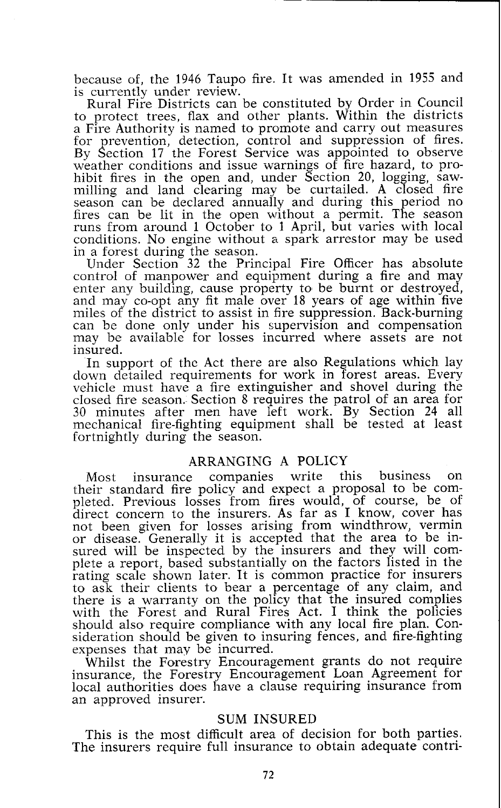because of, the 1946 Taupo fire. It was amended in 1955 and is currently under review.

Rural Fire Districts can be constituted by Order in Council to protect trees, flax and other plants. Within the districts a Fire Authority is named to promote and carry out measures for prevention, detection, control and suppression of fires. By Section 17 the Forest Service was appointed to observe weather conditions and issue warnings of fire hazard, to prohibit fires in the open and, under Section 20, logging, sawmilling and land clearing may be curtailed. A closed fire season can be declared annually and during this period no fires can be lit in the open without a permit. The season runs from around 1 October to 1 April, but varies with local conditions. No engine without a spark arrestor may be used in a forest during the season.

Under Section 32 the Principal Fire Officer has absolute control of manpower and equipment during a fire and may enter any building, cause property to be burnt or destroyed, and may co-opt any fit male over 18 years of age within five miles of the district to assist in fire suppression. Back-burning can be done only under his supervision and compensation may be available for losses incurred where assets are not

insured.<br>In support of the Act there are also Regulations which lay down detailed requirements for work in forest areas. Every vehicle must have a fire extinguisher and shovel during the closed fire season. Section 8 requires the patrol of an area for 30 minutes after men have left work. By Section 24 all mechanical fire-fighting equipment shall be tested at least fortnightly during the season.

# ARRANGING A POLICY

Most insurance companies write this business on their standard fire policy and expect a proposal to be completed. Previous losses from fires would, of course, be of direct concern to the insurers. As far as I know, cover has not been given for losses arising from windthrow, vermin or disease. Generally it is accepted that the area to be insured will be inspected by the insurers and they will complete a report, based substantially on the factors listed in the rating scale shown later. It is common practice for insurers to ask their clients to bear a percentage of any claim, and there is a warranty on the policy that the insured complies with the Forest and Rural Fires Act. I think the policies should also require compliance with any local fire plan. Consideration should be given to insuring fences, and fire-fighting expenses that may be incurred.

Whilst the Forestry Encouragement grants do not require insurance, the Forestry Encouragement Loan Agreement for local authorities does have a clause requiring insurance from an approved insurer.

#### SUM INSURED

This is the most difficult area of decision for both parties. The insurers require full insurance to obtain adequate contri-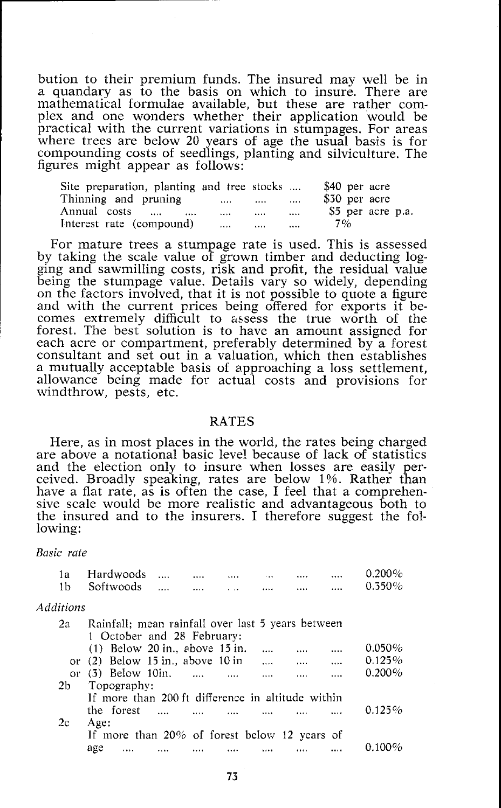bution to their premium funds. The insured may well be in a quandary as to the basis on which to insure. There are mathematical formulae available, but these are rather complex and one wonders whether their application would be practical with the current variations in stumpages. For areas where trees are below 20 years of age the usual basis is for compounding costs of seedlings, planting and silviculture. The figures might appear as follows:

| Site preparation, planting and tree stocks |      |          | \$40 per acre     |
|--------------------------------------------|------|----------|-------------------|
| Thinning and pruning                       | <br> | $\cdots$ | \$30 per acre     |
| Annual costs<br>                           | <br> | $\cdots$ | \$5 per acre p.a. |
| Interest rate (compound)                   | <br> |          | 7%                |

For mature trees a stumpage rate is used. This is assessed by taking the scale value of grown timber and deducting logging and sawmilling costs, risk and profit, the residual value being the stumpage value. Details vary so widely, depending on the factors involved, that it is not possible to quote a figure and with the current prices being offered for exports it becomes extremely difficult to assess the true worth of the forest. The best solution is to have an amount assigned for each acre or compartment, preferably determined by a forest consultant and set out in a valuation, which then establishes a mutually acceptable basis of approaching a loss settlement, allowance being made for actual costs and provisions for windthrow, pests, etc.

#### RATES

Here, as in most places in the world, the rates being charged are above a notational basic level because of lack of statistics and the election only to insure when losses are easily perceived. Broadly speaking, rates are below 1%. Rather than have a flat rate, as is often the case, I feel that a comprehensive scale would be more realistic and advantageous both to the insured and to the insurers. I therefore suggest the following:

*Basic rate* 

| 1a<br>1b  | Hardwoods<br>Softwoods                            |          |          |          | $0.200\%$<br>$0.350\%$ |
|-----------|---------------------------------------------------|----------|----------|----------|------------------------|
| Additions |                                                   |          |          |          |                        |
| 2a        | Rainfall; mean rainfall over last 5 years between |          |          |          |                        |
|           | 1 October and 28 February:                        |          |          |          |                        |
|           | $(1)$ Below 20 in., above 15 in.                  |          |          | $\cdots$ | $0.050\%$              |
|           | or $(2)$ Below 15 in., above 10 in                |          |          |          | <br>0.125%             |
|           | or $(3)$ Below 10in.                              | $\cdots$ | $\cdots$ |          | $0.200\%$              |
| 2b        | Topography:                                       |          |          |          |                        |
|           | If more than 200 ft difference in altitude within |          |          |          |                        |
|           | the forest                                        |          |          |          | $0.125\%$              |
| 2c        | Age:                                              |          |          |          |                        |
|           | If more than 20% of forest below 12 years of      |          |          |          |                        |
|           | age<br>                                           |          |          |          |                        |
|           |                                                   |          |          |          |                        |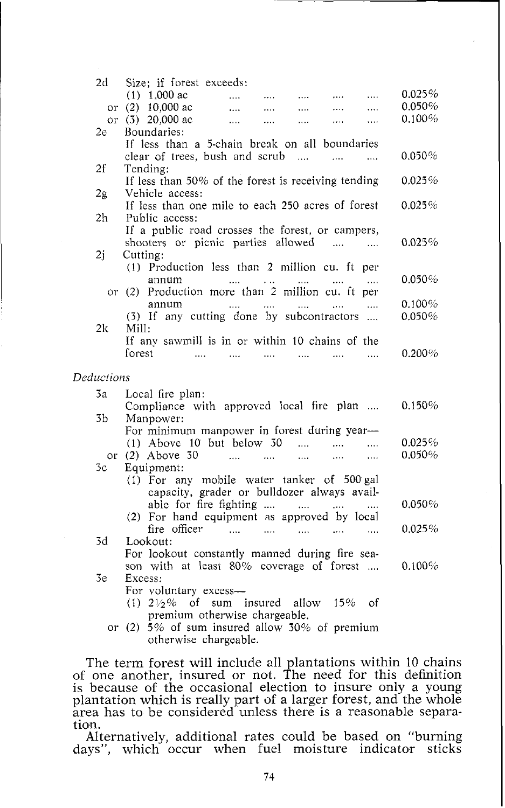| 2d.        | Size; if forest exceeds:                                                         |           |
|------------|----------------------------------------------------------------------------------|-----------|
|            | $(1)$ 1,000 ac<br>$\cdots$<br><br>.<br>$\cdots$<br>.                             | 0.025%    |
|            | or (2) 10,000 ac<br>.<br>.<br>.<br>$\cdots$                                      | $0.050\%$ |
|            | or (3) 20,000 ac<br>.<br><br><br>.<br>                                           | 0.100%    |
| 2e         | Boundaries:                                                                      |           |
|            | If less than a 5-chain break on all boundaries                                   |           |
|            | clear of trees, bush and scrub<br>$\sim$ $\sim$<br>.<br>.                        | $0.050\%$ |
| 2f         | Tending:                                                                         |           |
|            | If less than 50% of the forest is receiving tending                              | 0.025%    |
| 2g         | Vehicle access:                                                                  |           |
|            | If less than one mile to each 250 acres of forest                                | $0.025\%$ |
| 2h         | Public access:<br>If a public road crosses the forest, or campers,               |           |
|            | shooters or picnic parties allowed<br><b>Contract Contract</b>                   | 0.025%    |
| 2j         | $\cdots$<br>Cutting:                                                             |           |
|            | (1) Production less than 2 million cu. ft per                                    |           |
|            | annum<br>$\cdots$                                                                | $0.050\%$ |
|            | or (2) Production more than 2 million cu. ft per                                 |           |
|            | annum<br>$\cdots$<br>$\cdots$<br>$\cdots$                                        | 0.100%    |
|            | (3) If any cutting done by subcontractors                                        | 0.050%    |
| 2k.        | Mill:                                                                            |           |
|            | If any sawmill is in or within 10 chains of the                                  |           |
|            | forest<br>$\cdots$<br>$\cdots$<br>$\cdots$<br>$\cdots$<br>$\cdots$<br>$\dddotsc$ | 0.200%    |
|            |                                                                                  |           |
| Deductions |                                                                                  |           |
| 3a         | Local fire plan:                                                                 |           |
|            | Compliance with approved local fire plan                                         | 0.150%    |
| 3b         | Manpower:                                                                        |           |
|            | For minimum manpower in forest during year-                                      |           |
|            | $(1)$ Above 10 but below 30<br>$\ddot{\phantom{a}}$<br>$\cdots$<br>$\cdots$      | 0.025%    |
| or         | $(2)$ Above 30<br>$\cdots$<br>$\sim$ $\sim$ $\sim$<br>$\cdots$<br>$\cdots$<br>.  | 0.050%    |
| 5c         | Equipment:                                                                       |           |
|            | (1) For any mobile water tanker of 500 gal                                       |           |
|            | capacity, grader or bulldozer always avail-<br>able for fire fighting            | $0.050\%$ |
|            | (2) For hand equipment as approved by local                                      |           |
|            | fire officer<br>$\ddotsc$<br>$\cdots$<br>$\ddotsc$<br>$\ldots$<br>$\cdots$       | 0.025%    |
| 3d         | Lookout:                                                                         |           |
|            | For lookout constantly manned during fire sea-                                   |           |
|            | son with at least 80% coverage of forest                                         | 0.100%    |
| 3e.        | Excess:                                                                          |           |
|            | For voluntary excess-                                                            |           |
|            | $(1)$ 21/2% of sum insured allow 15% of                                          |           |
|            | premium otherwise chargeable.                                                    |           |
|            | or $(2)$ 5% of sum insured allow 30% of premium                                  |           |

otherwise chargeable.

The term forest will include all plantations within 10 chains of one another, insured or not. The need for this definition is because of the occasional election to insure only a young plantation which is really part of a larger forest, and the whole area has to be considered unless there is a reasonable separation.

Alternatively, additional rates could be based on "burning days", which occur when fuel moisture indicator sticks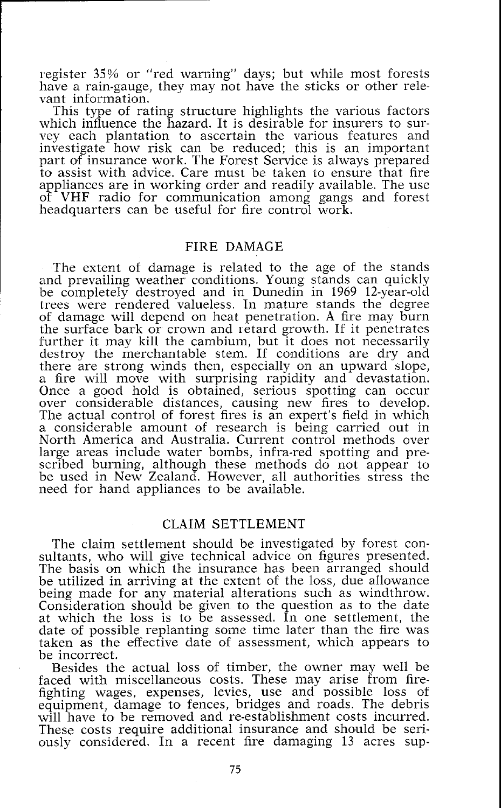register 35% or "red warning" days; but while most forests have a rain-gauge, they may not have the sticks or other relevant information.

This type of rating structure highlights the various factors which influence the hazard. It is desirable for insurers to survey each plantation to ascertain the various features and investigate how risk can be reduced; this is an important part of insurance work. The Forest Service is always prepared to assist with advice. Care must be taken to ensure that fire appliances are in working crder and readily available. The use of VHF radio for communication among gangs and forest headquarters can be useful for fire control work.

### FIRE DAMAGE

The extent of damage is related to the age of the stands and prevailing weather conditions. Young stands can quickly<br>be completely destroyed and in Dunedin in 1969 12-year-old trees were rendered valueless. In mature stands the degree of damage will depend on heat penetration. A fire may burn the surface bark or crown and ietard growth. If it penetrates further it may kill the cambium, but it does not necessarily destroy the merchantable stem. If conditions are dry and there are strong winds then, especially on an upward slope, a fire will move with surprising rapidity and devastation. Once a good hold is obtained, serious spotting can occur over considerable distances, causing new fires to develop. The actual control of forest fires is an expert's field in which a considerable amount of research is being carried out in North America and Australia. Current control methods over large areas include water bombs, infra-red spotting and prescribed burning, although these methods do not appear to be used in New Zealand. However, all authorities stress the need for hand appliances to be available.

# CLAIM SETTLEMENT

The claim settlement should be investigated by forest consultants, who will give technical advice on figures presented. The basis on which the insurance has been arranged should be utilized in arriving at the extent of the loss, due allowance being made for any material alterations such as windthrow. Consideration should be given to the question as to the date at which the loss is to be assessed. In one settlement, the date of possible replanting some time later than the fire was taken as the effective date of assessment, which appears to be incorrect.

Besides the actual loss of timber, the owner may well be faced with miscellaneous costs. These may arise from firefighting wages, expenses, levies, use and possible loss of equipment, damage to fences, bridges and roads. The debris will have to be removed and re-establishment costs incurred. These costs require additional insurance and should be seriously considered. In a recent fire damaging 13 acres sup